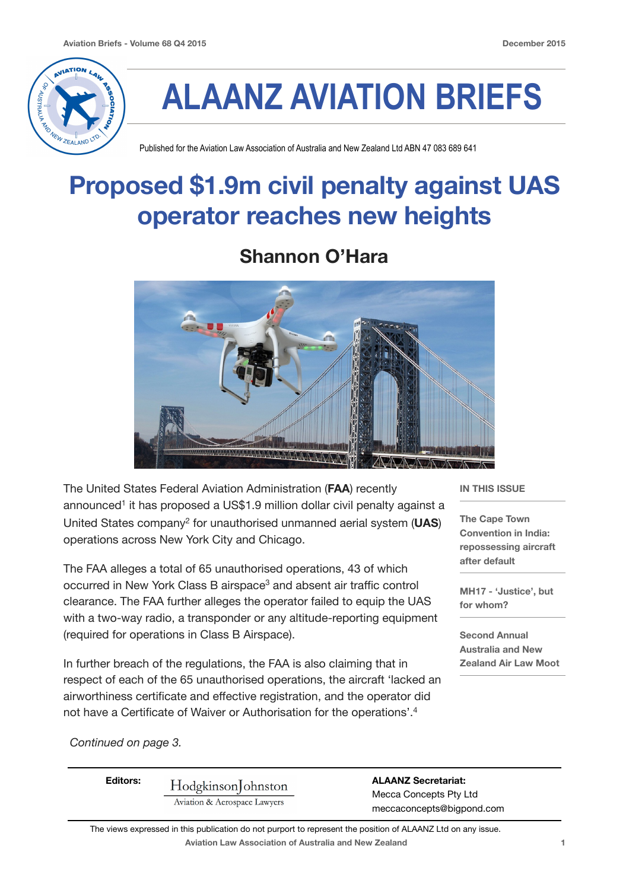

# **ALAANZ AVIATION BRIEFS**

Published for the Aviation Law Association of Australia and New Zealand Ltd ABN 47 083 689 641

### **Proposed \$1.9m civil penalty against UAS operator reaches new heights**

#### **Shannon O'Hara**



The United States Federal Aviation Administration (**FAA**) recently announced<sup>1</sup> it has proposed a US\$1.9 million dollar civil penalty against a United States company2 for unauthorised unmanned aerial system (**UAS**) operations across New York City and Chicago.

The FAA alleges a total of 65 unauthorised operations, 43 of which occurred in New York Class B airspace<sup>3</sup> and absent air traffic control clearance. The FAA further alleges the operator failed to equip the UAS with a two-way radio, a transponder or any altitude-reporting equipment (required for operations in Class B Airspace).

In further breach of the regulations, the FAA is also claiming that in respect of each of the 65 unauthorised operations, the aircraft 'lacked an airworthiness certificate and effective registration, and the operator did not have a Certificate of Waiver or Authorisation for the operations'.4

**IN THIS ISSUE** 

**The Cape Town Convention in India: repossessing aircraft after default** 

**MH17 - 'Justice', but for whom?**

**Second Annual Australia and New Zealand Air Law Moot**

*Continued on page 3.*

| <b>Editors:</b> | HodgkinsonJohnston           | <b>ALAANZ Secretariat:</b>                          |
|-----------------|------------------------------|-----------------------------------------------------|
|                 | Aviation & Aerospace Lawyers | Mecca Concepts Pty Ltd<br>meccaconcepts@bigpond.com |

**Aviation Law Association of Australia and New Zealand 1** The views expressed in this publication do not purport to represent the position of ALAANZ Ltd on any issue.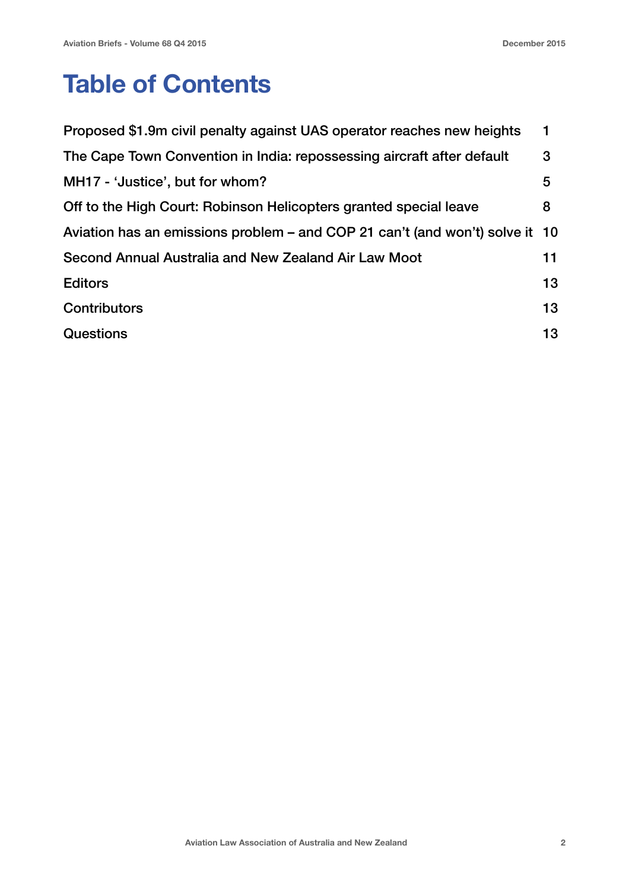### **Table of Contents**

| Proposed \$1.9m civil penalty against UAS operator reaches new heights       | 1  |
|------------------------------------------------------------------------------|----|
| The Cape Town Convention in India: repossessing aircraft after default       | 3  |
| MH17 - 'Justice', but for whom?                                              | 5  |
| Off to the High Court: Robinson Helicopters granted special leave            | 8  |
| Aviation has an emissions problem – and COP 21 can't (and won't) solve it 10 |    |
| Second Annual Australia and New Zealand Air Law Moot                         | 11 |
| <b>Editors</b>                                                               | 13 |
| Contributors                                                                 | 13 |
| <b>Questions</b>                                                             | 13 |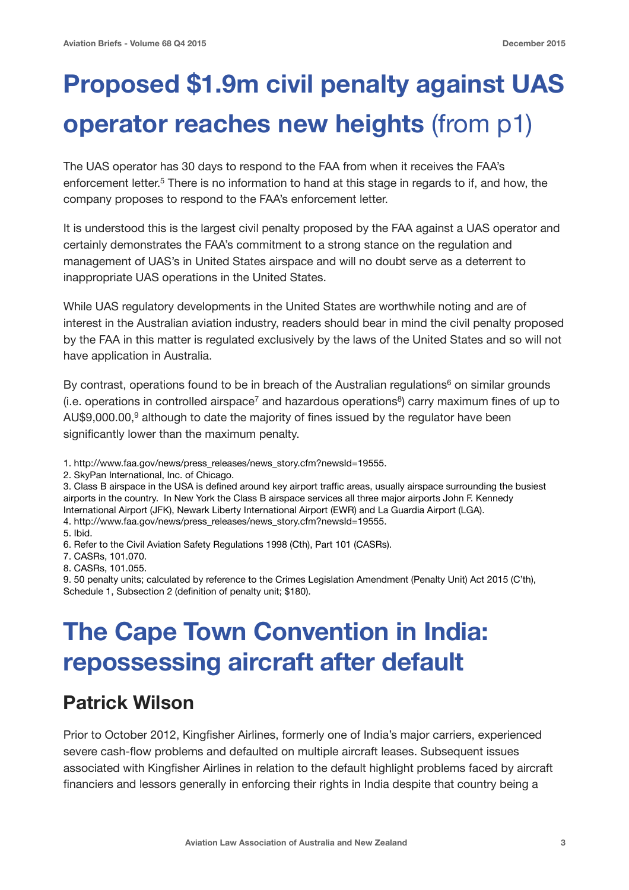## **Proposed \$1.9m civil penalty against UAS operator reaches new heights** (from p1)

The UAS operator has 30 days to respond to the FAA from when it receives the FAA's enforcement letter.5 There is no information to hand at this stage in regards to if, and how, the company proposes to respond to the FAA's enforcement letter.

It is understood this is the largest civil penalty proposed by the FAA against a UAS operator and certainly demonstrates the FAA's commitment to a strong stance on the regulation and management of UAS's in United States airspace and will no doubt serve as a deterrent to inappropriate UAS operations in the United States.

While UAS regulatory developments in the United States are worthwhile noting and are of interest in the Australian aviation industry, readers should bear in mind the civil penalty proposed by the FAA in this matter is regulated exclusively by the laws of the United States and so will not have application in Australia.

By contrast, operations found to be in breach of the Australian regulations<sup>6</sup> on similar grounds (i.e. operations in controlled airspace<sup>7</sup> and hazardous operations<sup>8</sup>) carry maximum fines of up to AU\$9,000.00, $9$  although to date the majority of fines issued by the regulator have been significantly lower than the maximum penalty.

- 1. http://www.faa.gov/news/press\_releases/news\_story.cfm?newsId=19555.
- 2. SkyPan International, Inc. of Chicago.

3. Class B airspace in the USA is defined around key airport traffic areas, usually airspace surrounding the busiest airports in the country. In New York the Class B airspace services all three major airports John F. Kennedy International Airport (JFK), Newark Liberty International Airport (EWR) and La Guardia Airport (LGA).

4. http://www.faa.gov/news/press\_releases/news\_story.cfm?newsId=19555.

5. Ibid.

6. Refer to the Civil Aviation Safety Regulations 1998 (Cth), Part 101 (CASRs).

- 7. CASRs, 101.070.
- 8. CASRs, 101.055.

9. 50 penalty units; calculated by reference to the Crimes Legislation Amendment (Penalty Unit) Act 2015 (C'th), Schedule 1, Subsection 2 (definition of penalty unit; \$180).

### **The Cape Town Convention in India: repossessing aircraft after default**

#### **Patrick Wilson**

Prior to October 2012, Kingfisher Airlines, formerly one of India's major carriers, experienced severe cash-flow problems and defaulted on multiple aircraft leases. Subsequent issues associated with Kingfisher Airlines in relation to the default highlight problems faced by aircraft financiers and lessors generally in enforcing their rights in India despite that country being a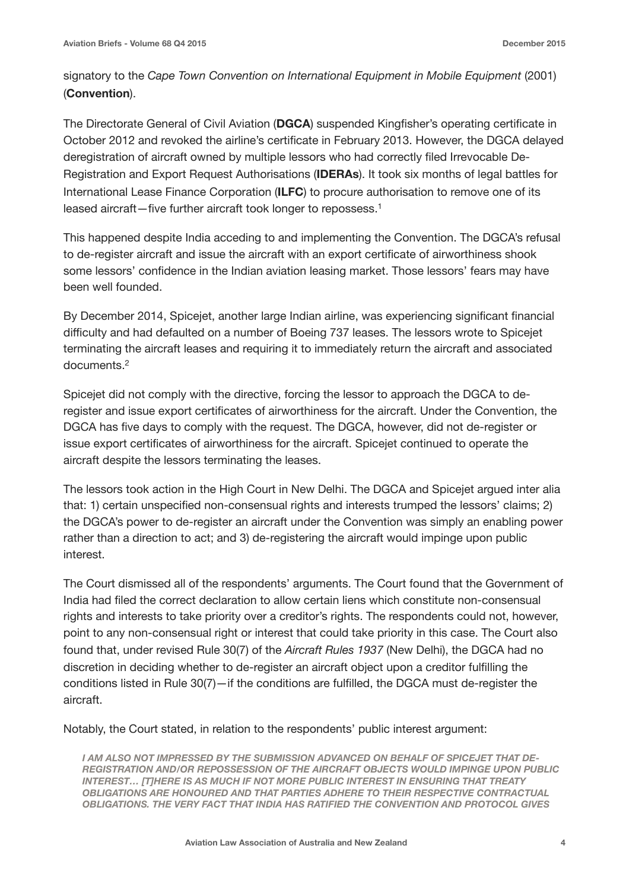signatory to the *Cape Town Convention on International Equipment in Mobile Equipment* (2001) (**Convention**).

The Directorate General of Civil Aviation (**DGCA**) suspended Kingfisher's operating certificate in October 2012 and revoked the airline's certificate in February 2013. However, the DGCA delayed deregistration of aircraft owned by multiple lessors who had correctly filed Irrevocable De-Registration and Export Request Authorisations (**IDERAs**). It took six months of legal battles for International Lease Finance Corporation (**ILFC**) to procure authorisation to remove one of its leased aircraft—five further aircraft took longer to repossess.1

This happened despite India acceding to and implementing the Convention. The DGCA's refusal to de-register aircraft and issue the aircraft with an export certificate of airworthiness shook some lessors' confidence in the Indian aviation leasing market. Those lessors' fears may have been well founded.

By December 2014, Spicejet, another large Indian airline, was experiencing significant financial difficulty and had defaulted on a number of Boeing 737 leases. The lessors wrote to Spicejet terminating the aircraft leases and requiring it to immediately return the aircraft and associated documents.2

Spicejet did not comply with the directive, forcing the lessor to approach the DGCA to deregister and issue export certificates of airworthiness for the aircraft. Under the Convention, the DGCA has five days to comply with the request. The DGCA, however, did not de-register or issue export certificates of airworthiness for the aircraft. Spicejet continued to operate the aircraft despite the lessors terminating the leases.

The lessors took action in the High Court in New Delhi. The DGCA and Spicejet argued inter alia that: 1) certain unspecified non-consensual rights and interests trumped the lessors' claims; 2) the DGCA's power to de-register an aircraft under the Convention was simply an enabling power rather than a direction to act; and 3) de-registering the aircraft would impinge upon public interest.

The Court dismissed all of the respondents' arguments. The Court found that the Government of India had filed the correct declaration to allow certain liens which constitute non-consensual rights and interests to take priority over a creditor's rights. The respondents could not, however, point to any non-consensual right or interest that could take priority in this case. The Court also found that, under revised Rule 30(7) of the *Aircraft Rules 1937* (New Delhi), the DGCA had no discretion in deciding whether to de-register an aircraft object upon a creditor fulfilling the conditions listed in Rule 30(7)—if the conditions are fulfilled, the DGCA must de-register the aircraft.

Notably, the Court stated, in relation to the respondents' public interest argument:

*I AM ALSO NOT IMPRESSED BY THE SUBMISSION ADVANCED ON BEHALF OF SPICEJET THAT DE-REGISTRATION AND/OR REPOSSESSION OF THE AIRCRAFT OBJECTS WOULD IMPINGE UPON PUBLIC INTEREST… [T]HERE IS AS MUCH IF NOT MORE PUBLIC INTEREST IN ENSURING THAT TREATY OBLIGATIONS ARE HONOURED AND THAT PARTIES ADHERE TO THEIR RESPECTIVE CONTRACTUAL OBLIGATIONS. THE VERY FACT THAT INDIA HAS RATIFIED THE CONVENTION AND PROTOCOL GIVES*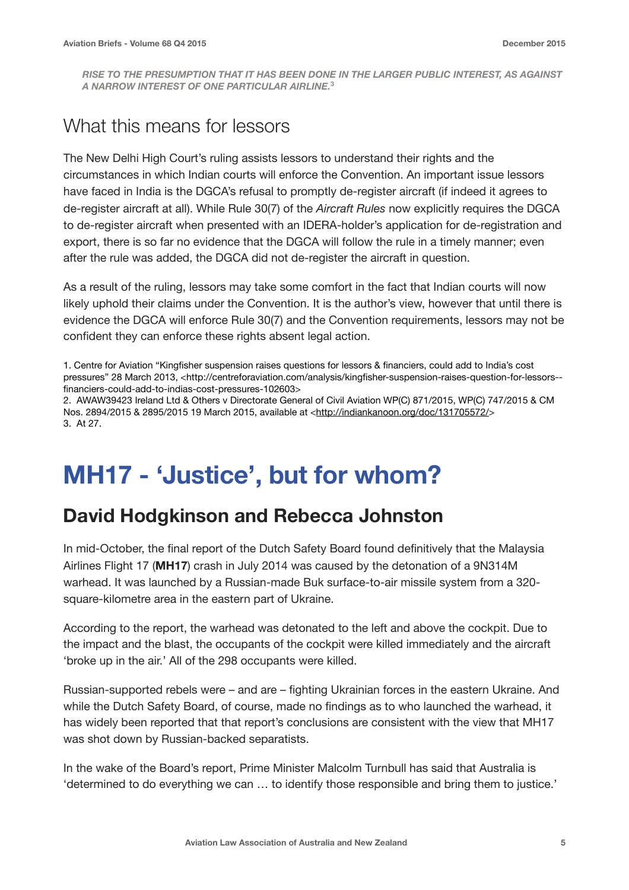*RISE TO THE PRESUMPTION THAT IT HAS BEEN DONE IN THE LARGER PUBLIC INTEREST, AS AGAINST A NARROW INTEREST OF ONE PARTICULAR AIRLINE.***<sup>3</sup>**

#### What this means for lessors

The New Delhi High Court's ruling assists lessors to understand their rights and the circumstances in which Indian courts will enforce the Convention. An important issue lessors have faced in India is the DGCA's refusal to promptly de-register aircraft (if indeed it agrees to de-register aircraft at all). While Rule 30(7) of the *Aircraft Rules* now explicitly requires the DGCA to de-register aircraft when presented with an IDERA-holder's application for de-registration and export, there is so far no evidence that the DGCA will follow the rule in a timely manner; even after the rule was added, the DGCA did not de-register the aircraft in question.

As a result of the ruling, lessors may take some comfort in the fact that Indian courts will now likely uphold their claims under the Convention. It is the author's view, however that until there is evidence the DGCA will enforce Rule 30(7) and the Convention requirements, lessors may not be confident they can enforce these rights absent legal action.

1. Centre for Aviation "Kingfisher suspension raises questions for lessors & financiers, could add to India's cost pressures" 28 March 2013, <http://centreforaviation.com/analysis/kingfisher-suspension-raises-question-for-lessors- financiers-could-add-to-indias-cost-pressures-102603>

2. AWAW39423 Ireland Ltd & Others v Directorate General of Civil Aviation WP(C) 871/2015, WP(C) 747/2015 & CM Nos. 2894/2015 & 2895/2015 19 March 2015, available at [<http://indiankanoon.org/doc/131705572/](http://indiankanoon.org/doc/131705572/)> 3. At 27.

### **MH17 - 'Justice', but for whom?**

#### **David Hodgkinson and Rebecca Johnston**

In mid-October, the final report of the Dutch Safety Board found definitively that the Malaysia Airlines Flight 17 (**MH17**) crash in July 2014 was caused by the detonation of a 9N314M warhead. It was launched by a Russian-made Buk surface-to-air missile system from a 320 square-kilometre area in the eastern part of Ukraine.

According to the report, the warhead was detonated to the left and above the cockpit. Due to the impact and the blast, the occupants of the cockpit were killed immediately and the aircraft 'broke up in the air.' All of the 298 occupants were killed.

Russian-supported rebels were – and are – fighting Ukrainian forces in the eastern Ukraine. And while the Dutch Safety Board, of course, made no findings as to who launched the warhead, it has widely been reported that that report's conclusions are consistent with the view that MH17 was shot down by Russian-backed separatists.

In the wake of the Board's report, Prime Minister Malcolm Turnbull has said that Australia is 'determined to do everything we can … to identify those responsible and bring them to justice.'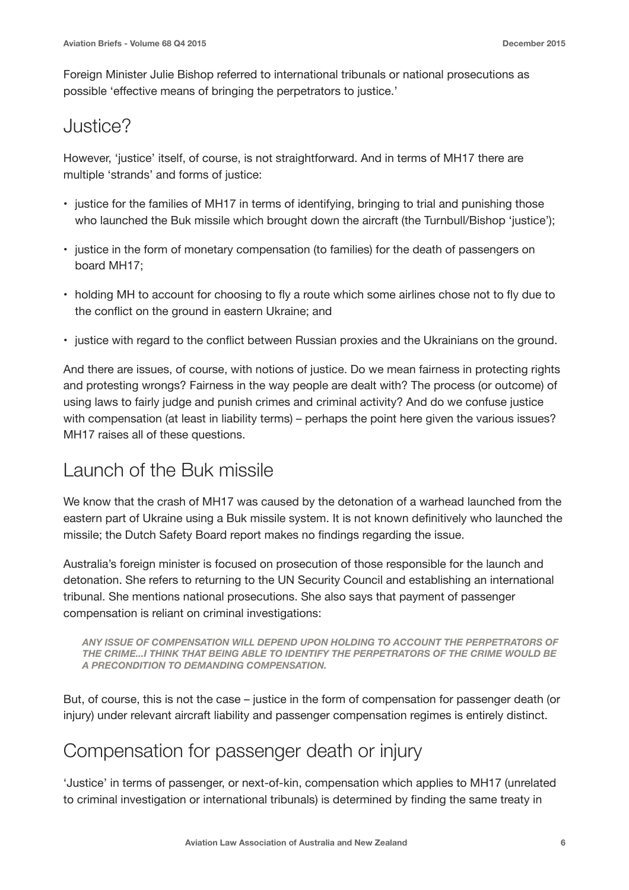Foreign Minister Julie Bishop referred to international tribunals or national prosecutions as possible 'effective means of bringing the perpetrators to justice.'

#### Justice?

However, 'justice' itself, of course, is not straightforward. And in terms of MH17 there are multiple 'strands' and forms of justice:

- justice for the families of MH17 in terms of identifying, bringing to trial and punishing those who launched the Buk missile which brought down the aircraft (the Turnbull/Bishop 'justice');
- justice in the form of monetary compensation (to families) for the death of passengers on board MH17;
- holding MH to account for choosing to fly a route which some airlines chose not to fly due to the conflict on the ground in eastern Ukraine; and
- justice with regard to the conflict between Russian proxies and the Ukrainians on the ground.

And there are issues, of course, with notions of justice. Do we mean fairness in protecting rights and protesting wrongs? Fairness in the way people are dealt with? The process (or outcome) of using laws to fairly judge and punish crimes and criminal activity? And do we confuse justice with compensation (at least in liability terms) – perhaps the point here given the various issues? MH17 raises all of these questions.

#### Launch of the Buk missile

We know that the crash of MH17 was caused by the detonation of a warhead launched from the eastern part of Ukraine using a Buk missile system. It is not known definitively who launched the missile; the Dutch Safety Board report makes no findings regarding the issue.

Australia's foreign minister is focused on prosecution of those responsible for the launch and detonation. She refers to returning to the UN Security Council and establishing an international tribunal. She mentions national prosecutions. She also says that payment of passenger compensation is reliant on criminal investigations:

*ANY ISSUE OF COMPENSATION WILL DEPEND UPON HOLDING TO ACCOUNT THE PERPETRATORS OF THE CRIME...I THINK THAT BEING ABLE TO IDENTIFY THE PERPETRATORS OF THE CRIME WOULD BE A PRECONDITION TO DEMANDING COMPENSATION.*

But, of course, this is not the case – justice in the form of compensation for passenger death (or injury) under relevant aircraft liability and passenger compensation regimes is entirely distinct.

#### Compensation for passenger death or injury

'Justice' in terms of passenger, or next-of-kin, compensation which applies to MH17 (unrelated to criminal investigation or international tribunals) is determined by finding the same treaty in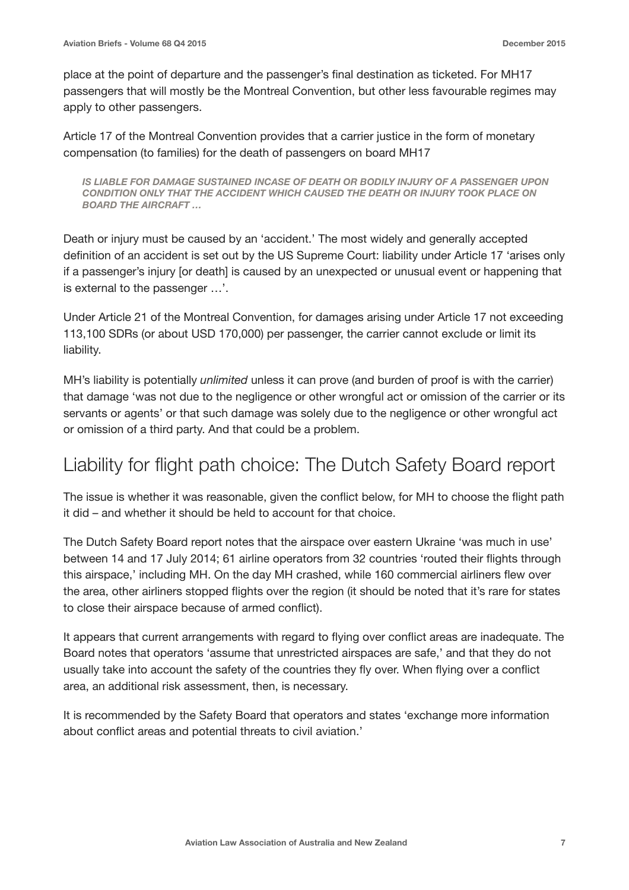place at the point of departure and the passenger's final destination as ticketed. For MH17 passengers that will mostly be the Montreal Convention, but other less favourable regimes may apply to other passengers.

Article 17 of the Montreal Convention provides that a carrier justice in the form of monetary compensation (to families) for the death of passengers on board MH17

*IS LIABLE FOR DAMAGE SUSTAINED INCASE OF DEATH OR BODILY INJURY OF A PASSENGER UPON CONDITION ONLY THAT THE ACCIDENT WHICH CAUSED THE DEATH OR INJURY TOOK PLACE ON BOARD THE AIRCRAFT …* 

Death or injury must be caused by an 'accident.' The most widely and generally accepted definition of an accident is set out by the US Supreme Court: liability under Article 17 'arises only if a passenger's injury [or death] is caused by an unexpected or unusual event or happening that is external to the passenger …'.

Under Article 21 of the Montreal Convention, for damages arising under Article 17 not exceeding 113,100 SDRs (or about USD 170,000) per passenger, the carrier cannot exclude or limit its liability.

MH's liability is potentially *unlimited* unless it can prove (and burden of proof is with the carrier) that damage 'was not due to the negligence or other wrongful act or omission of the carrier or its servants or agents' or that such damage was solely due to the negligence or other wrongful act or omission of a third party. And that could be a problem.

#### Liability for flight path choice: The Dutch Safety Board report

The issue is whether it was reasonable, given the conflict below, for MH to choose the flight path it did – and whether it should be held to account for that choice.

The Dutch Safety Board report notes that the airspace over eastern Ukraine 'was much in use' between 14 and 17 July 2014; 61 airline operators from 32 countries 'routed their flights through this airspace,' including MH. On the day MH crashed, while 160 commercial airliners flew over the area, other airliners stopped flights over the region (it should be noted that it's rare for states to close their airspace because of armed conflict).

It appears that current arrangements with regard to flying over conflict areas are inadequate. The Board notes that operators 'assume that unrestricted airspaces are safe,' and that they do not usually take into account the safety of the countries they fly over. When flying over a conflict area, an additional risk assessment, then, is necessary.

It is recommended by the Safety Board that operators and states 'exchange more information about conflict areas and potential threats to civil aviation.'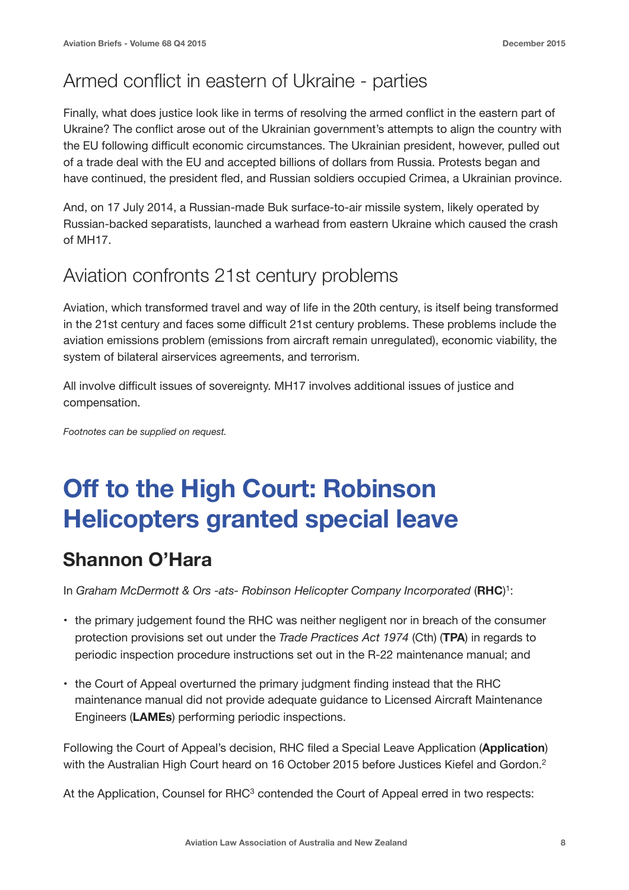#### Armed conflict in eastern of Ukraine - parties

Finally, what does justice look like in terms of resolving the armed conflict in the eastern part of Ukraine? The conflict arose out of the Ukrainian government's attempts to align the country with the EU following difficult economic circumstances. The Ukrainian president, however, pulled out of a trade deal with the EU and accepted billions of dollars from Russia. Protests began and have continued, the president fled, and Russian soldiers occupied Crimea, a Ukrainian province.

And, on 17 July 2014, a Russian-made Buk surface-to-air missile system, likely operated by Russian-backed separatists, launched a warhead from eastern Ukraine which caused the crash of MH17.

#### Aviation confronts 21st century problems

Aviation, which transformed travel and way of life in the 20th century, is itself being transformed in the 21st century and faces some difficult 21st century problems. These problems include the aviation emissions problem (emissions from aircraft remain unregulated), economic viability, the system of bilateral airservices agreements, and terrorism.

All involve difficult issues of sovereignty. MH17 involves additional issues of justice and compensation.

*Footnotes can be supplied on request.*

### **Off to the High Court: Robinson Helicopters granted special leave**

#### **Shannon O'Hara**

In *Graham McDermott & Ors -ats- Robinson Helicopter Company Incorporated* (**RHC**) 1:

- the primary judgement found the RHC was neither negligent nor in breach of the consumer protection provisions set out under the *Trade Practices Act 1974* (Cth) (**TPA**) in regards to periodic inspection procedure instructions set out in the R-22 maintenance manual; and
- the Court of Appeal overturned the primary judgment finding instead that the RHC maintenance manual did not provide adequate guidance to Licensed Aircraft Maintenance Engineers (**LAMEs**) performing periodic inspections.

Following the Court of Appeal's decision, RHC filed a Special Leave Application (**Application**) with the Australian High Court heard on 16 October 2015 before Justices Kiefel and Gordon.<sup>2</sup>

At the Application, Counsel for RHC<sup>3</sup> contended the Court of Appeal erred in two respects: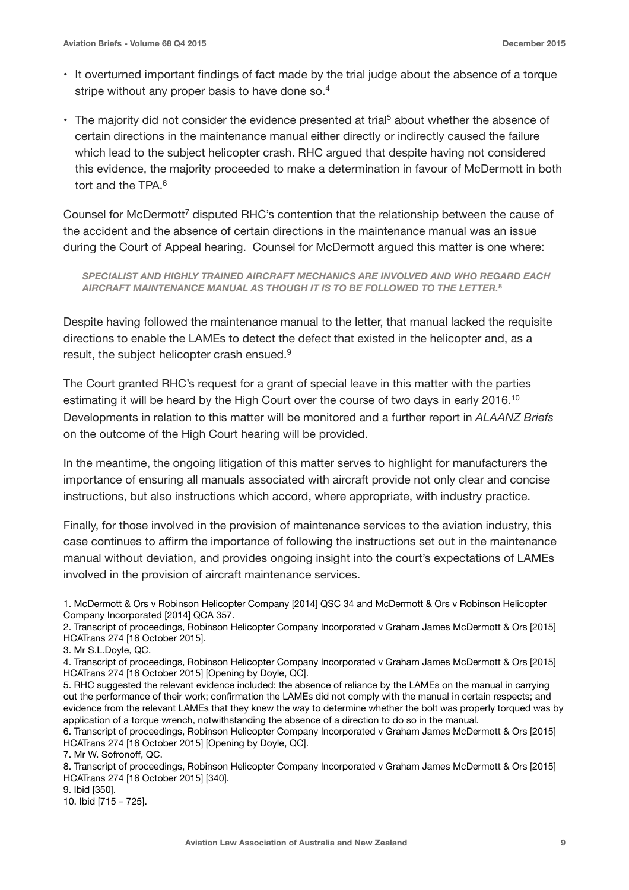- It overturned important findings of fact made by the trial judge about the absence of a torque stripe without any proper basis to have done so.<sup>4</sup>
- The majority did not consider the evidence presented at trial<sup>5</sup> about whether the absence of certain directions in the maintenance manual either directly or indirectly caused the failure which lead to the subject helicopter crash. RHC argued that despite having not considered this evidence, the majority proceeded to make a determination in favour of McDermott in both tort and the TPA  $6$

Counsel for McDermott<sup>7</sup> disputed RHC's contention that the relationship between the cause of the accident and the absence of certain directions in the maintenance manual was an issue during the Court of Appeal hearing. Counsel for McDermott argued this matter is one where:

*SPECIALIST AND HIGHLY TRAINED AIRCRAFT MECHANICS ARE INVOLVED AND WHO REGARD EACH AIRCRAFT MAINTENANCE MANUAL AS THOUGH IT IS TO BE FOLLOWED TO THE LETTER.***<sup>8</sup>**

Despite having followed the maintenance manual to the letter, that manual lacked the requisite directions to enable the LAMEs to detect the defect that existed in the helicopter and, as a result, the subject helicopter crash ensued.9

The Court granted RHC's request for a grant of special leave in this matter with the parties estimating it will be heard by the High Court over the course of two days in early 2016.<sup>10</sup> Developments in relation to this matter will be monitored and a further report in *ALAANZ Briefs* on the outcome of the High Court hearing will be provided.

In the meantime, the ongoing litigation of this matter serves to highlight for manufacturers the importance of ensuring all manuals associated with aircraft provide not only clear and concise instructions, but also instructions which accord, where appropriate, with industry practice.

Finally, for those involved in the provision of maintenance services to the aviation industry, this case continues to affirm the importance of following the instructions set out in the maintenance manual without deviation, and provides ongoing insight into the court's expectations of LAMEs involved in the provision of aircraft maintenance services.

2. Transcript of proceedings, Robinson Helicopter Company Incorporated v Graham James McDermott & Ors [2015] HCATrans 274 [16 October 2015].

3. Mr S.L.Doyle, QC.

4. Transcript of proceedings, Robinson Helicopter Company Incorporated v Graham James McDermott & Ors [2015] HCATrans 274 [16 October 2015] [Opening by Doyle, QC].

5. RHC suggested the relevant evidence included: the absence of reliance by the LAMEs on the manual in carrying out the performance of their work; confirmation the LAMEs did not comply with the manual in certain respects; and evidence from the relevant LAMEs that they knew the way to determine whether the bolt was properly torqued was by application of a torque wrench, notwithstanding the absence of a direction to do so in the manual.

6. Transcript of proceedings, Robinson Helicopter Company Incorporated v Graham James McDermott & Ors [2015] HCATrans 274 [16 October 2015] [Opening by Doyle, QC].

7. Mr W. Sofronoff, QC.

8. Transcript of proceedings, Robinson Helicopter Company Incorporated v Graham James McDermott & Ors [2015] HCATrans 274 [16 October 2015] [340].

9. Ibid [350].

10. Ibid [715 – 725].

<sup>1.</sup> McDermott & Ors v Robinson Helicopter Company [2014] QSC 34 and McDermott & Ors v Robinson Helicopter Company Incorporated [2014] QCA 357.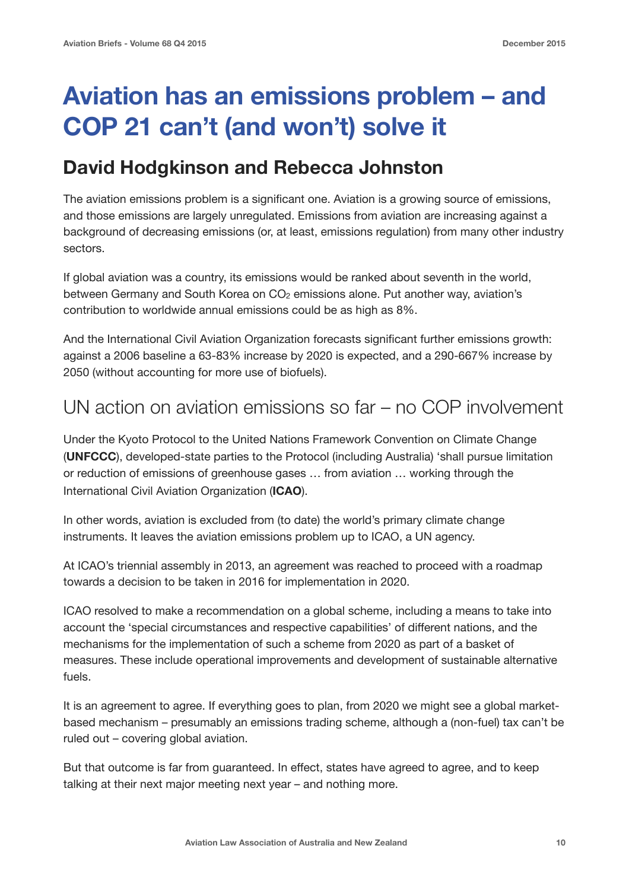### **Aviation has an emissions problem – and COP 21 can't (and won't) solve it**

#### **David Hodgkinson and Rebecca Johnston**

The aviation emissions problem is a significant one. Aviation is a growing source of emissions, and those emissions are largely unregulated. Emissions from aviation are increasing against a background of decreasing emissions (or, at least, emissions regulation) from many other industry sectors.

If global aviation was a country, its emissions would be ranked about seventh in the world, between Germany and South Korea on CO<sub>2</sub> emissions alone. Put another way, aviation's contribution to worldwide annual emissions could be as high as 8%.

And the International Civil Aviation Organization forecasts significant further emissions growth: against a 2006 baseline a 63-83% increase by 2020 is expected, and a 290-667% increase by 2050 (without accounting for more use of biofuels).

#### UN action on aviation emissions so far – no COP involvement

Under the Kyoto Protocol to the United Nations Framework Convention on Climate Change (**UNFCCC**), developed-state parties to the Protocol (including Australia) 'shall pursue limitation or reduction of emissions of greenhouse gases … from aviation … working through the International Civil Aviation Organization (**ICAO**).

In other words, aviation is excluded from (to date) the world's primary climate change instruments. It leaves the aviation emissions problem up to ICAO, a UN agency.

At ICAO's triennial assembly in 2013, an agreement was reached to proceed with a roadmap towards a decision to be taken in 2016 for implementation in 2020.

ICAO resolved to make a recommendation on a global scheme, including a means to take into account the 'special circumstances and respective capabilities' of different nations, and the mechanisms for the implementation of such a scheme from 2020 as part of a basket of measures. These include operational improvements and development of sustainable alternative fuels.

It is an agreement to agree. If everything goes to plan, from 2020 we might see a global marketbased mechanism – presumably an emissions trading scheme, although a (non-fuel) tax can't be ruled out – covering global aviation.

But that outcome is far from guaranteed. In effect, states have agreed to agree, and to keep talking at their next major meeting next year – and nothing more.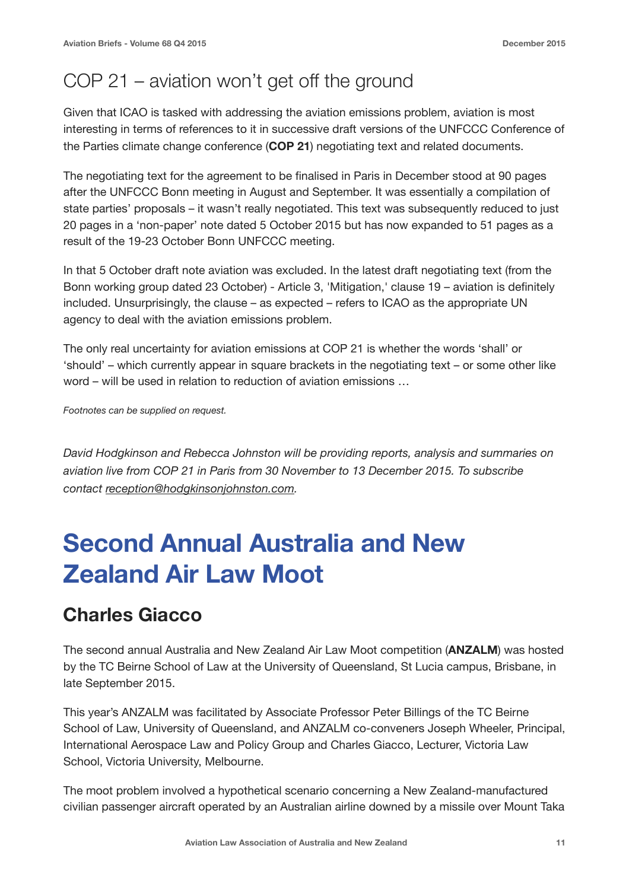#### COP 21 – aviation won't get off the ground

Given that ICAO is tasked with addressing the aviation emissions problem, aviation is most interesting in terms of references to it in successive draft versions of the UNFCCC Conference of the Parties climate change conference (**COP 21**) negotiating text and related documents.

The negotiating text for the agreement to be finalised in Paris in December stood at 90 pages after the UNFCCC Bonn meeting in August and September. It was essentially a compilation of state parties' proposals – it wasn't really negotiated. This text was subsequently reduced to just 20 pages in a 'non-paper' note dated 5 October 2015 but has now expanded to 51 pages as a result of the 19-23 October Bonn UNFCCC meeting.

In that 5 October draft note aviation was excluded. In the latest draft negotiating text (from the Bonn working group dated 23 October) - Article 3, 'Mitigation,' clause 19 – aviation is definitely included. Unsurprisingly, the clause – as expected – refers to ICAO as the appropriate UN agency to deal with the aviation emissions problem.

The only real uncertainty for aviation emissions at COP 21 is whether the words 'shall' or 'should' – which currently appear in square brackets in the negotiating text – or some other like word – will be used in relation to reduction of aviation emissions …

*Footnotes can be supplied on request.*

*David Hodgkinson and Rebecca Johnston will be providing reports, analysis and summaries on aviation live from COP 21 in Paris from 30 November to 13 December 2015. To subscribe contact [reception@hodgkinsonjohnston.com](mailto:reception@hodgkinsonjohnston.com).* 

### **Second Annual Australia and New Zealand Air Law Moot**

#### **Charles Giacco**

The second annual Australia and New Zealand Air Law Moot competition (**ANZALM**) was hosted by the TC Beirne School of Law at the University of Queensland, St Lucia campus, Brisbane, in late September 2015.

This year's ANZALM was facilitated by Associate Professor Peter Billings of the TC Beirne School of Law, University of Queensland, and ANZALM co-conveners Joseph Wheeler, Principal, International Aerospace Law and Policy Group and Charles Giacco, Lecturer, Victoria Law School, Victoria University, Melbourne.

The moot problem involved a hypothetical scenario concerning a New Zealand-manufactured civilian passenger aircraft operated by an Australian airline downed by a missile over Mount Taka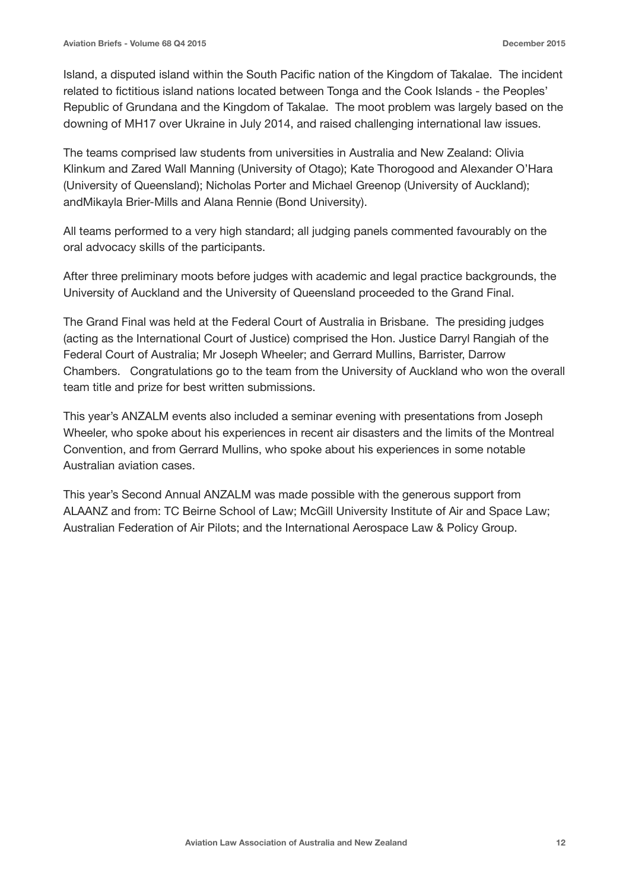Island, a disputed island within the South Pacific nation of the Kingdom of Takalae. The incident related to fictitious island nations located between Tonga and the Cook Islands - the Peoples' Republic of Grundana and the Kingdom of Takalae. The moot problem was largely based on the downing of MH17 over Ukraine in July 2014, and raised challenging international law issues.

The teams comprised law students from universities in Australia and New Zealand: Olivia Klinkum and Zared Wall Manning (University of Otago); Kate Thorogood and Alexander O'Hara (University of Queensland); Nicholas Porter and Michael Greenop (University of Auckland); andMikayla Brier-Mills and Alana Rennie (Bond University).

All teams performed to a very high standard; all judging panels commented favourably on the oral advocacy skills of the participants.

After three preliminary moots before judges with academic and legal practice backgrounds, the University of Auckland and the University of Queensland proceeded to the Grand Final.

The Grand Final was held at the Federal Court of Australia in Brisbane. The presiding judges (acting as the International Court of Justice) comprised the Hon. Justice Darryl Rangiah of the Federal Court of Australia; Mr Joseph Wheeler; and Gerrard Mullins, Barrister, Darrow Chambers. Congratulations go to the team from the University of Auckland who won the overall team title and prize for best written submissions.

This year's ANZALM events also included a seminar evening with presentations from Joseph Wheeler, who spoke about his experiences in recent air disasters and the limits of the Montreal Convention, and from Gerrard Mullins, who spoke about his experiences in some notable Australian aviation cases.

This year's Second Annual ANZALM was made possible with the generous support from ALAANZ and from: TC Beirne School of Law; McGill University Institute of Air and Space Law; Australian Federation of Air Pilots; and the International Aerospace Law & Policy Group.